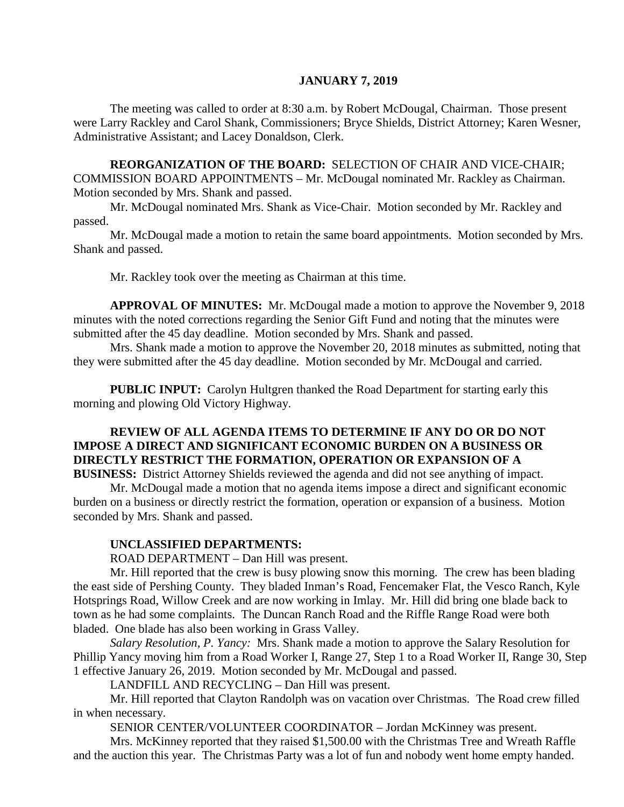#### **JANUARY 7, 2019**

The meeting was called to order at 8:30 a.m. by Robert McDougal, Chairman. Those present were Larry Rackley and Carol Shank, Commissioners; Bryce Shields, District Attorney; Karen Wesner, Administrative Assistant; and Lacey Donaldson, Clerk.

**REORGANIZATION OF THE BOARD:** SELECTION OF CHAIR AND VICE-CHAIR; COMMISSION BOARD APPOINTMENTS – Mr. McDougal nominated Mr. Rackley as Chairman. Motion seconded by Mrs. Shank and passed.

Mr. McDougal nominated Mrs. Shank as Vice-Chair. Motion seconded by Mr. Rackley and passed.

Mr. McDougal made a motion to retain the same board appointments. Motion seconded by Mrs. Shank and passed.

Mr. Rackley took over the meeting as Chairman at this time.

**APPROVAL OF MINUTES:** Mr. McDougal made a motion to approve the November 9, 2018 minutes with the noted corrections regarding the Senior Gift Fund and noting that the minutes were submitted after the 45 day deadline. Motion seconded by Mrs. Shank and passed.

Mrs. Shank made a motion to approve the November 20, 2018 minutes as submitted, noting that they were submitted after the 45 day deadline. Motion seconded by Mr. McDougal and carried.

**PUBLIC INPUT:** Carolyn Hultgren thanked the Road Department for starting early this morning and plowing Old Victory Highway.

# **REVIEW OF ALL AGENDA ITEMS TO DETERMINE IF ANY DO OR DO NOT IMPOSE A DIRECT AND SIGNIFICANT ECONOMIC BURDEN ON A BUSINESS OR DIRECTLY RESTRICT THE FORMATION, OPERATION OR EXPANSION OF A**

**BUSINESS:** District Attorney Shields reviewed the agenda and did not see anything of impact. Mr. McDougal made a motion that no agenda items impose a direct and significant economic

burden on a business or directly restrict the formation, operation or expansion of a business. Motion seconded by Mrs. Shank and passed.

## **UNCLASSIFIED DEPARTMENTS:**

ROAD DEPARTMENT – Dan Hill was present.

Mr. Hill reported that the crew is busy plowing snow this morning. The crew has been blading the east side of Pershing County. They bladed Inman's Road, Fencemaker Flat, the Vesco Ranch, Kyle Hotsprings Road, Willow Creek and are now working in Imlay. Mr. Hill did bring one blade back to town as he had some complaints. The Duncan Ranch Road and the Riffle Range Road were both bladed. One blade has also been working in Grass Valley.

*Salary Resolution, P. Yancy:* Mrs. Shank made a motion to approve the Salary Resolution for Phillip Yancy moving him from a Road Worker I, Range 27, Step 1 to a Road Worker II, Range 30, Step 1 effective January 26, 2019. Motion seconded by Mr. McDougal and passed.

LANDFILL AND RECYCLING – Dan Hill was present.

Mr. Hill reported that Clayton Randolph was on vacation over Christmas. The Road crew filled in when necessary.

SENIOR CENTER/VOLUNTEER COORDINATOR – Jordan McKinney was present.

Mrs. McKinney reported that they raised \$1,500.00 with the Christmas Tree and Wreath Raffle and the auction this year. The Christmas Party was a lot of fun and nobody went home empty handed.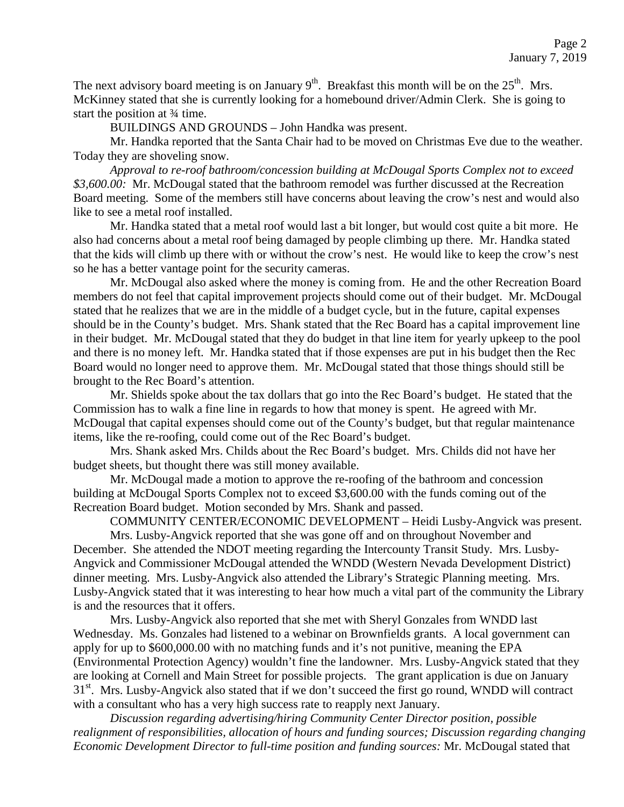The next advisory board meeting is on January  $9<sup>th</sup>$ . Breakfast this month will be on the  $25<sup>th</sup>$ . Mrs. McKinney stated that she is currently looking for a homebound driver/Admin Clerk. She is going to start the position at ¾ time.

BUILDINGS AND GROUNDS – John Handka was present.

Mr. Handka reported that the Santa Chair had to be moved on Christmas Eve due to the weather. Today they are shoveling snow.

*Approval to re-roof bathroom/concession building at McDougal Sports Complex not to exceed \$3,600.00:* Mr. McDougal stated that the bathroom remodel was further discussed at the Recreation Board meeting. Some of the members still have concerns about leaving the crow's nest and would also like to see a metal roof installed.

Mr. Handka stated that a metal roof would last a bit longer, but would cost quite a bit more. He also had concerns about a metal roof being damaged by people climbing up there. Mr. Handka stated that the kids will climb up there with or without the crow's nest. He would like to keep the crow's nest so he has a better vantage point for the security cameras.

Mr. McDougal also asked where the money is coming from. He and the other Recreation Board members do not feel that capital improvement projects should come out of their budget. Mr. McDougal stated that he realizes that we are in the middle of a budget cycle, but in the future, capital expenses should be in the County's budget. Mrs. Shank stated that the Rec Board has a capital improvement line in their budget. Mr. McDougal stated that they do budget in that line item for yearly upkeep to the pool and there is no money left. Mr. Handka stated that if those expenses are put in his budget then the Rec Board would no longer need to approve them. Mr. McDougal stated that those things should still be brought to the Rec Board's attention.

Mr. Shields spoke about the tax dollars that go into the Rec Board's budget. He stated that the Commission has to walk a fine line in regards to how that money is spent. He agreed with Mr. McDougal that capital expenses should come out of the County's budget, but that regular maintenance items, like the re-roofing, could come out of the Rec Board's budget.

Mrs. Shank asked Mrs. Childs about the Rec Board's budget. Mrs. Childs did not have her budget sheets, but thought there was still money available.

Mr. McDougal made a motion to approve the re-roofing of the bathroom and concession building at McDougal Sports Complex not to exceed \$3,600.00 with the funds coming out of the Recreation Board budget. Motion seconded by Mrs. Shank and passed.

COMMUNITY CENTER/ECONOMIC DEVELOPMENT – Heidi Lusby-Angvick was present.

Mrs. Lusby-Angvick reported that she was gone off and on throughout November and December. She attended the NDOT meeting regarding the Intercounty Transit Study. Mrs. Lusby-Angvick and Commissioner McDougal attended the WNDD (Western Nevada Development District) dinner meeting. Mrs. Lusby-Angvick also attended the Library's Strategic Planning meeting. Mrs. Lusby-Angvick stated that it was interesting to hear how much a vital part of the community the Library is and the resources that it offers.

Mrs. Lusby-Angvick also reported that she met with Sheryl Gonzales from WNDD last Wednesday. Ms. Gonzales had listened to a webinar on Brownfields grants. A local government can apply for up to \$600,000.00 with no matching funds and it's not punitive, meaning the EPA (Environmental Protection Agency) wouldn't fine the landowner. Mrs. Lusby-Angvick stated that they are looking at Cornell and Main Street for possible projects. The grant application is due on January 31<sup>st</sup>. Mrs. Lusby-Angvick also stated that if we don't succeed the first go round, WNDD will contract with a consultant who has a very high success rate to reapply next January.

*Discussion regarding advertising/hiring Community Center Director position, possible realignment of responsibilities, allocation of hours and funding sources; Discussion regarding changing Economic Development Director to full-time position and funding sources:* Mr. McDougal stated that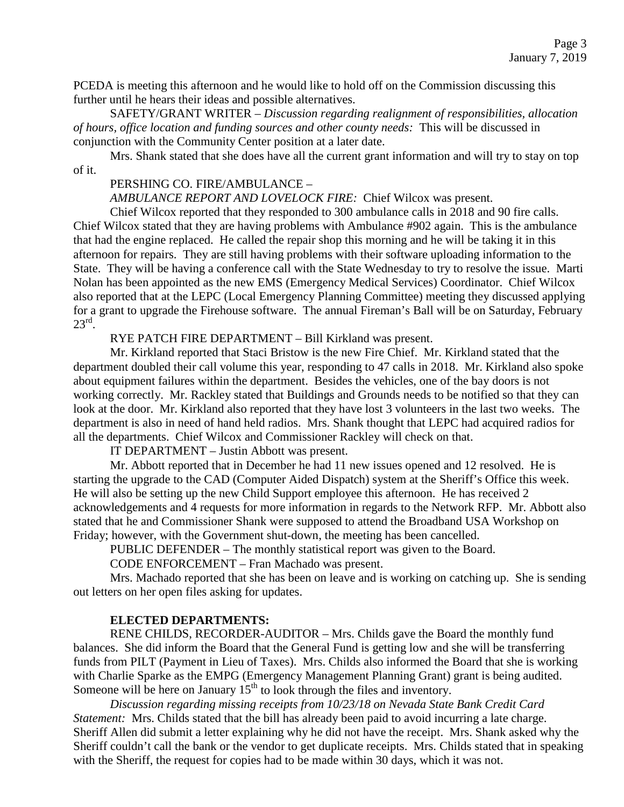PCEDA is meeting this afternoon and he would like to hold off on the Commission discussing this further until he hears their ideas and possible alternatives.

SAFETY/GRANT WRITER – *Discussion regarding realignment of responsibilities, allocation of hours, office location and funding sources and other county needs:* This will be discussed in conjunction with the Community Center position at a later date.

Mrs. Shank stated that she does have all the current grant information and will try to stay on top of it.

## PERSHING CO. FIRE/AMBULANCE –

*AMBULANCE REPORT AND LOVELOCK FIRE:* Chief Wilcox was present.

Chief Wilcox reported that they responded to 300 ambulance calls in 2018 and 90 fire calls. Chief Wilcox stated that they are having problems with Ambulance #902 again. This is the ambulance that had the engine replaced. He called the repair shop this morning and he will be taking it in this afternoon for repairs. They are still having problems with their software uploading information to the State. They will be having a conference call with the State Wednesday to try to resolve the issue. Marti Nolan has been appointed as the new EMS (Emergency Medical Services) Coordinator. Chief Wilcox also reported that at the LEPC (Local Emergency Planning Committee) meeting they discussed applying for a grant to upgrade the Firehouse software. The annual Fireman's Ball will be on Saturday, February  $23^{\text{rd}}$ .

RYE PATCH FIRE DEPARTMENT – Bill Kirkland was present.

Mr. Kirkland reported that Staci Bristow is the new Fire Chief. Mr. Kirkland stated that the department doubled their call volume this year, responding to 47 calls in 2018. Mr. Kirkland also spoke about equipment failures within the department. Besides the vehicles, one of the bay doors is not working correctly. Mr. Rackley stated that Buildings and Grounds needs to be notified so that they can look at the door. Mr. Kirkland also reported that they have lost 3 volunteers in the last two weeks. The department is also in need of hand held radios. Mrs. Shank thought that LEPC had acquired radios for all the departments. Chief Wilcox and Commissioner Rackley will check on that.

IT DEPARTMENT – Justin Abbott was present.

Mr. Abbott reported that in December he had 11 new issues opened and 12 resolved. He is starting the upgrade to the CAD (Computer Aided Dispatch) system at the Sheriff's Office this week. He will also be setting up the new Child Support employee this afternoon. He has received 2 acknowledgements and 4 requests for more information in regards to the Network RFP. Mr. Abbott also stated that he and Commissioner Shank were supposed to attend the Broadband USA Workshop on Friday; however, with the Government shut-down, the meeting has been cancelled.

PUBLIC DEFENDER – The monthly statistical report was given to the Board.

CODE ENFORCEMENT – Fran Machado was present.

Mrs. Machado reported that she has been on leave and is working on catching up. She is sending out letters on her open files asking for updates.

## **ELECTED DEPARTMENTS:**

RENE CHILDS, RECORDER-AUDITOR – Mrs. Childs gave the Board the monthly fund balances. She did inform the Board that the General Fund is getting low and she will be transferring funds from PILT (Payment in Lieu of Taxes). Mrs. Childs also informed the Board that she is working with Charlie Sparke as the EMPG (Emergency Management Planning Grant) grant is being audited. Someone will be here on January  $15<sup>th</sup>$  to look through the files and inventory.

*Discussion regarding missing receipts from 10/23/18 on Nevada State Bank Credit Card Statement:* Mrs. Childs stated that the bill has already been paid to avoid incurring a late charge. Sheriff Allen did submit a letter explaining why he did not have the receipt. Mrs. Shank asked why the Sheriff couldn't call the bank or the vendor to get duplicate receipts. Mrs. Childs stated that in speaking with the Sheriff, the request for copies had to be made within 30 days, which it was not.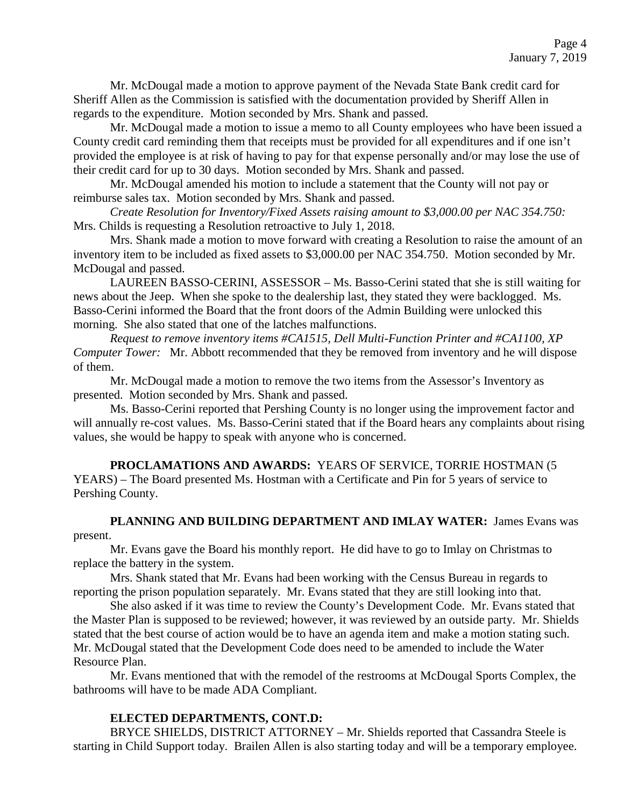Mr. McDougal made a motion to approve payment of the Nevada State Bank credit card for Sheriff Allen as the Commission is satisfied with the documentation provided by Sheriff Allen in regards to the expenditure. Motion seconded by Mrs. Shank and passed.

Mr. McDougal made a motion to issue a memo to all County employees who have been issued a County credit card reminding them that receipts must be provided for all expenditures and if one isn't provided the employee is at risk of having to pay for that expense personally and/or may lose the use of their credit card for up to 30 days. Motion seconded by Mrs. Shank and passed.

Mr. McDougal amended his motion to include a statement that the County will not pay or reimburse sales tax. Motion seconded by Mrs. Shank and passed.

*Create Resolution for Inventory/Fixed Assets raising amount to \$3,000.00 per NAC 354.750:* Mrs. Childs is requesting a Resolution retroactive to July 1, 2018.

Mrs. Shank made a motion to move forward with creating a Resolution to raise the amount of an inventory item to be included as fixed assets to \$3,000.00 per NAC 354.750. Motion seconded by Mr. McDougal and passed.

LAUREEN BASSO-CERINI, ASSESSOR – Ms. Basso-Cerini stated that she is still waiting for news about the Jeep. When she spoke to the dealership last, they stated they were backlogged. Ms. Basso-Cerini informed the Board that the front doors of the Admin Building were unlocked this morning. She also stated that one of the latches malfunctions.

*Request to remove inventory items #CA1515, Dell Multi-Function Printer and #CA1100, XP Computer Tower:* Mr. Abbott recommended that they be removed from inventory and he will dispose of them.

Mr. McDougal made a motion to remove the two items from the Assessor's Inventory as presented. Motion seconded by Mrs. Shank and passed.

Ms. Basso-Cerini reported that Pershing County is no longer using the improvement factor and will annually re-cost values. Ms. Basso-Cerini stated that if the Board hears any complaints about rising values, she would be happy to speak with anyone who is concerned.

**PROCLAMATIONS AND AWARDS:** YEARS OF SERVICE, TORRIE HOSTMAN (5 YEARS) – The Board presented Ms. Hostman with a Certificate and Pin for 5 years of service to Pershing County.

#### **PLANNING AND BUILDING DEPARTMENT AND IMLAY WATER:** James Evans was present.

Mr. Evans gave the Board his monthly report. He did have to go to Imlay on Christmas to replace the battery in the system.

Mrs. Shank stated that Mr. Evans had been working with the Census Bureau in regards to reporting the prison population separately. Mr. Evans stated that they are still looking into that.

She also asked if it was time to review the County's Development Code. Mr. Evans stated that the Master Plan is supposed to be reviewed; however, it was reviewed by an outside party. Mr. Shields stated that the best course of action would be to have an agenda item and make a motion stating such. Mr. McDougal stated that the Development Code does need to be amended to include the Water Resource Plan.

Mr. Evans mentioned that with the remodel of the restrooms at McDougal Sports Complex, the bathrooms will have to be made ADA Compliant.

## **ELECTED DEPARTMENTS, CONT.D:**

BRYCE SHIELDS, DISTRICT ATTORNEY – Mr. Shields reported that Cassandra Steele is starting in Child Support today. Brailen Allen is also starting today and will be a temporary employee.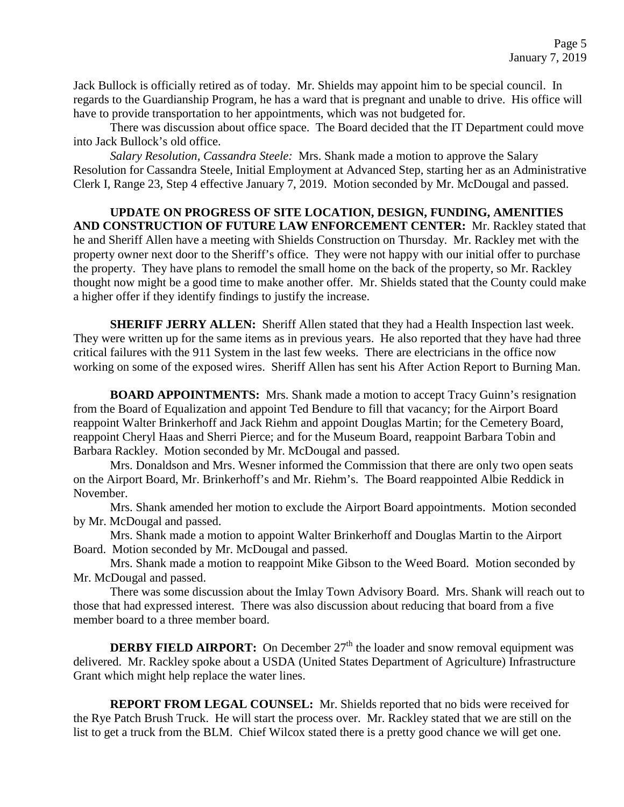Jack Bullock is officially retired as of today. Mr. Shields may appoint him to be special council. In regards to the Guardianship Program, he has a ward that is pregnant and unable to drive. His office will have to provide transportation to her appointments, which was not budgeted for.

There was discussion about office space. The Board decided that the IT Department could move into Jack Bullock's old office.

*Salary Resolution, Cassandra Steele:* Mrs. Shank made a motion to approve the Salary Resolution for Cassandra Steele, Initial Employment at Advanced Step, starting her as an Administrative Clerk I, Range 23, Step 4 effective January 7, 2019. Motion seconded by Mr. McDougal and passed.

# **UPDATE ON PROGRESS OF SITE LOCATION, DESIGN, FUNDING, AMENITIES AND CONSTRUCTION OF FUTURE LAW ENFORCEMENT CENTER:** Mr. Rackley stated that he and Sheriff Allen have a meeting with Shields Construction on Thursday. Mr. Rackley met with the property owner next door to the Sheriff's office. They were not happy with our initial offer to purchase the property. They have plans to remodel the small home on the back of the property, so Mr. Rackley thought now might be a good time to make another offer. Mr. Shields stated that the County could make a higher offer if they identify findings to justify the increase.

**SHERIFF JERRY ALLEN:** Sheriff Allen stated that they had a Health Inspection last week. They were written up for the same items as in previous years. He also reported that they have had three critical failures with the 911 System in the last few weeks. There are electricians in the office now working on some of the exposed wires. Sheriff Allen has sent his After Action Report to Burning Man.

**BOARD APPOINTMENTS:** Mrs. Shank made a motion to accept Tracy Guinn's resignation from the Board of Equalization and appoint Ted Bendure to fill that vacancy; for the Airport Board reappoint Walter Brinkerhoff and Jack Riehm and appoint Douglas Martin; for the Cemetery Board, reappoint Cheryl Haas and Sherri Pierce; and for the Museum Board, reappoint Barbara Tobin and Barbara Rackley. Motion seconded by Mr. McDougal and passed.

Mrs. Donaldson and Mrs. Wesner informed the Commission that there are only two open seats on the Airport Board, Mr. Brinkerhoff's and Mr. Riehm's. The Board reappointed Albie Reddick in November.

Mrs. Shank amended her motion to exclude the Airport Board appointments. Motion seconded by Mr. McDougal and passed.

Mrs. Shank made a motion to appoint Walter Brinkerhoff and Douglas Martin to the Airport Board. Motion seconded by Mr. McDougal and passed.

Mrs. Shank made a motion to reappoint Mike Gibson to the Weed Board. Motion seconded by Mr. McDougal and passed.

There was some discussion about the Imlay Town Advisory Board. Mrs. Shank will reach out to those that had expressed interest. There was also discussion about reducing that board from a five member board to a three member board.

**DERBY FIELD AIRPORT:** On December  $27<sup>th</sup>$  the loader and snow removal equipment was delivered. Mr. Rackley spoke about a USDA (United States Department of Agriculture) Infrastructure Grant which might help replace the water lines.

**REPORT FROM LEGAL COUNSEL:** Mr. Shields reported that no bids were received for the Rye Patch Brush Truck. He will start the process over. Mr. Rackley stated that we are still on the list to get a truck from the BLM. Chief Wilcox stated there is a pretty good chance we will get one.